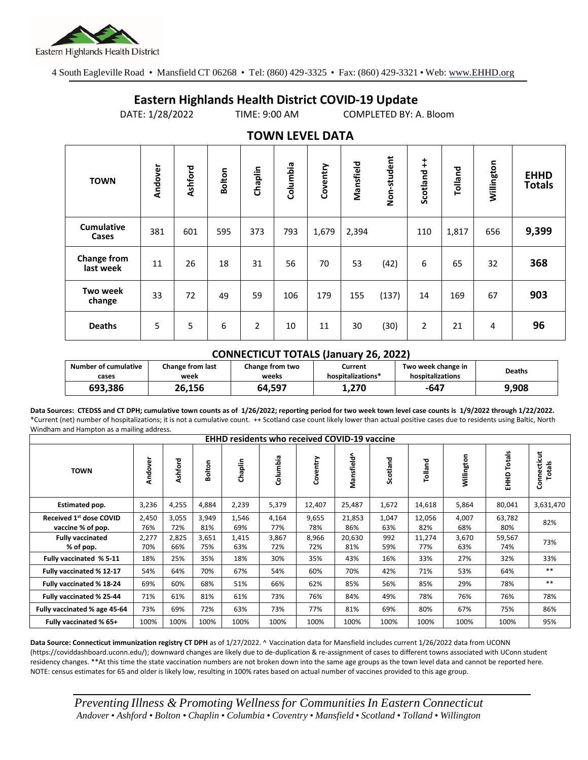

4 South Eagleville Road • Mansfield CT 06268 • Tel: (860) 429-3325 • Fax: (860) 429-3321 • Web: www.EHHD.org

## **Eastern Highlands Health District COVID-19 Update**

DATE: 1/28/2022 TIME: 9:00 AM COMPLETED BY: A. Bloom

| $19.111$ LL $9.11$ Dair    |         |         |        |                |          |          |           |             |                |         |            |                              |
|----------------------------|---------|---------|--------|----------------|----------|----------|-----------|-------------|----------------|---------|------------|------------------------------|
| <b>TOWN</b>                | Andover | Ashford | Bolton | Chaplin        | Columbia | Coventry | Mansfield | Non-student | Scotland ++    | Tolland | Willington | <b>EHHD</b><br><b>Totals</b> |
| <b>Cumulative</b><br>Cases | 381     | 601     | 595    | 373            | 793      | 1,679    | 2,394     |             | 110            | 1,817   | 656        | 9,399                        |
| Change from<br>last week   | 11      | 26      | 18     | 31             | 56       | 70       | 53        | (42)        | 6              | 65      | 32         | 368                          |
| Two week<br>change         | 33      | 72      | 49     | 59             | 106      | 179      | 155       | (137)       | 14             | 169     | 67         | 903                          |
| <b>Deaths</b>              | 5       | 5       | 6      | $\overline{2}$ | 10       | 11       | 30        | (30)        | $\overline{2}$ | 21      | 4          | 96                           |

## **TOWN LEVEL DATA**

## **CONNECTICUT TOTALS (January 26, 2022)**

| <b>Number of cumulative</b> | Change from last | <b>Change from two</b> | Current           | Two week change in | <b>Deaths</b> |
|-----------------------------|------------------|------------------------|-------------------|--------------------|---------------|
| cases                       | week             | weeks                  | hospitalizations* | hospitalizations   |               |
| 693.386                     | 26,156           | 64.597                 | 1.270             | -647               | 9,908         |

**Data Sources: CTEDSS and CT DPH; cumulative town counts as of 1/26/2022; reporting period for two week town level case counts is 1/9/2022 through 1/22/2022.** \*Current (net) number of hospitalizations; it is not a cumulative count. ++ Scotland case count likely lower than actual positive cases due to residents using Baltic, North Windham and Hampton as a mailing address.

| <b>EHHD residents who received COVID-19 vaccine</b> |              |              |              |              |              |              |               |              |               |              |                  |                       |
|-----------------------------------------------------|--------------|--------------|--------------|--------------|--------------|--------------|---------------|--------------|---------------|--------------|------------------|-----------------------|
| <b>TOWN</b>                                         | Andover      | Ashford      | Bolton       | Chaplin      | Columbia     | Coventry     | Mansfield^    | Scotland     | Tolland       | Willington   | Totals<br>요<br>표 | Connecticut<br>Totals |
| Estimated pop.                                      | 3,236        | 4,255        | 4,884        | 2,239        | 5,379        | 12,407       | 25,487        | 1,672        | 14,618        | 5,864        | 80,041           | 3,631,470             |
| Received 1st dose COVID<br>vaccine % of pop.        | 2,450<br>76% | 3,055<br>72% | 3,949<br>81% | 1,546<br>69% | 4,164<br>77% | 9,655<br>78% | 21,853<br>86% | 1,047<br>63% | 12,056<br>82% | 4,007<br>68% | 63,782<br>80%    | 82%                   |
| <b>Fully vaccinated</b><br>% of pop.                | 2,277<br>70% | 2,825<br>66% | 3,651<br>75% | 1,415<br>63% | 3,867<br>72% | 8,966<br>72% | 20,630<br>81% | 992<br>59%   | 11,274<br>77% | 3,670<br>63% | 59,567<br>74%    | 73%                   |
| Fully vaccinated % 5-11                             | 18%          | 25%          | 35%          | 18%          | 30%          | 35%          | 43%           | 16%          | 33%           | 27%          | 32%              | 33%                   |
| Fully vaccinated % 12-17                            | 54%          | 64%          | 70%          | 67%          | 54%          | 60%          | 70%           | 42%          | 71%           | 53%          | 64%              | $***$                 |
| Fully vaccinated % 18-24                            | 69%          | 60%          | 68%          | 51%          | 66%          | 62%          | 85%           | 56%          | 85%           | 29%          | 78%              | $***$                 |
| Fully vaccinated % 25-44                            | 71%          | 61%          | 81%          | 61%          | 73%          | 76%          | 84%           | 49%          | 78%           | 76%          | 76%              | 78%                   |
| Fully vaccinated % age 45-64                        | 73%          | 69%          | 72%          | 63%          | 73%          | 77%          | 81%           | 69%          | 80%           | 67%          | 75%              | 86%                   |
| Fully vaccinated % 65+                              | 100%         | 100%         | 100%         | 100%         | 100%         | 100%         | 100%          | 100%         | 100%          | 100%         | 100%             | 95%                   |

**Data Source: Connecticut immunization registry CT DPH** as of 1/27/2022. ^ Vaccination data for Mansfield includes current 1/26/2022 data from UCONN (https://coviddashboard.uconn.edu/); downward changes are likely due to de-duplication & re-assignment of cases to different towns associated with UConn student residency changes. \*\*At this time the state vaccination numbers are not broken down into the same age groups as the town level data and cannot be reported here. NOTE: census estimates for 65 and older is likely low, resulting in 100% rates based on actual number of vaccines provided to this age group.

*Preventing Illness & Promoting Wellnessfor Communities In Eastern Connecticut* Andover . Ashford . Bolton . Chaplin . Columbia . Coventry . Mansfield . Scotland . Tolland . Willington